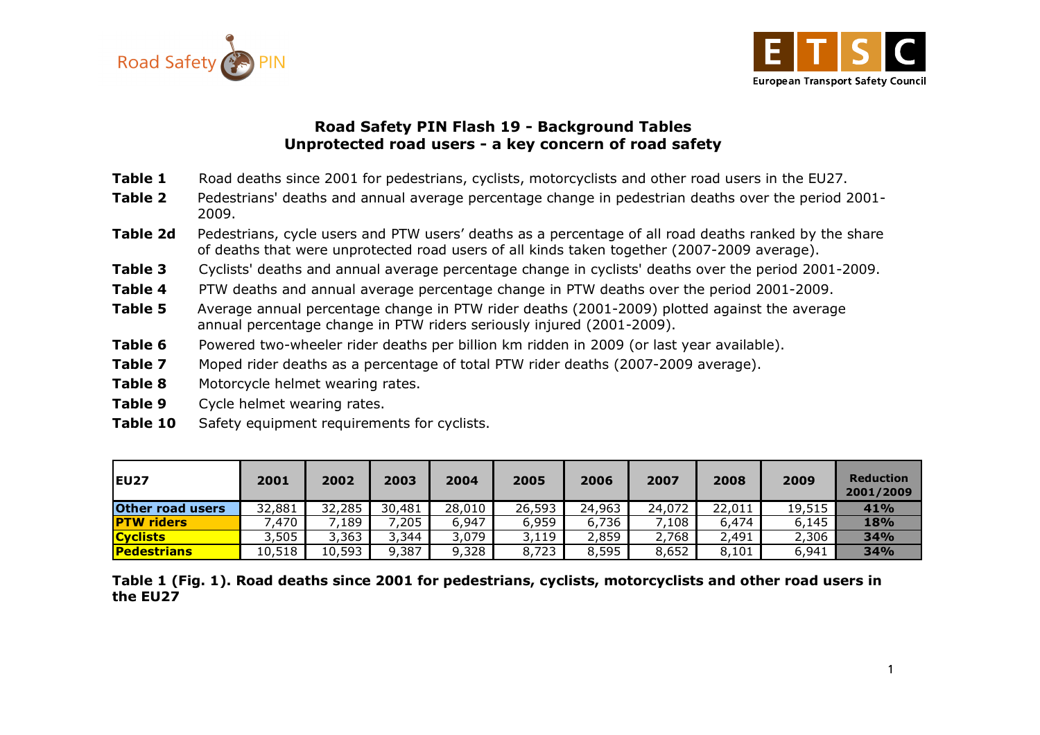



### Road Safety PIN Flash 19 - Background Tables Unprotected road users - a key concern of road safety

- Table 1 Road deaths since 2001 for pedestrians, cyclists, motorcyclists and other road users in the EU27.
- Table 2 Pedestrians' deaths and annual average percentage change in pedestrian deaths over the period 2001-2009.
- Table 2d Pedestrians, cycle users and PTW users' deaths as a percentage of all road deaths ranked by the share of deaths that were unprotected road users of all kinds taken together (2007-2009 average).
- Table 3 Cyclists' deaths and annual average percentage change in cyclists' deaths over the period 2001-2009.
- Table 4 PTW deaths and annual average percentage change in PTW deaths over the period 2001-2009.
- **Table 5** Average annual percentage change in PTW rider deaths (2001-2009) plotted against the average annual percentage change in PTW riders seriously injured (2001-2009).
- Table 6 Powered two-wheeler rider deaths per billion km ridden in 2009 (or last year available).
- Table 7 Moped rider deaths as a percentage of total PTW rider deaths (2007-2009 average).
- Table 8 Motorcycle helmet wearing rates.
- Table 9 Cycle helmet wearing rates.
- Table 10 Safety equipment requirements for cyclists.

| <b>IEU27</b>       | 2001   | 2002   | 2003   | 2004   | 2005   | 2006   | 2007   | 2008   | 2009   | <b>Reduction</b><br>2001/2009 |
|--------------------|--------|--------|--------|--------|--------|--------|--------|--------|--------|-------------------------------|
| Other road users   | 32,881 | 32,285 | 30,481 | 28,010 | 26,593 | 24,963 | 24,072 | 22,011 | 19,515 | 41%                           |
| <b>PTW riders</b>  | ,470   | 189    | 7,205  | 6,947  | 6,959  | 6,736  | ,108   | 6,474  | 6,145  | <b>18%</b>                    |
| <b>Cyclists</b>    | 3,505  | 3,363  | 3,344  | 3,079  | 3,119  | 2,859  | 2,768  | 2,491  | 2,306  | 34%                           |
| <b>Pedestrians</b> | 10,518 | 10,593 | 9,387  | 9,328  | 8,723  | 8,595  | 8,652  | 8,101  | 6,941  | 34%                           |

Table 1 (Fig. 1). Road deaths since 2001 for pedestrians, cyclists, motorcyclists and other road users in the EU27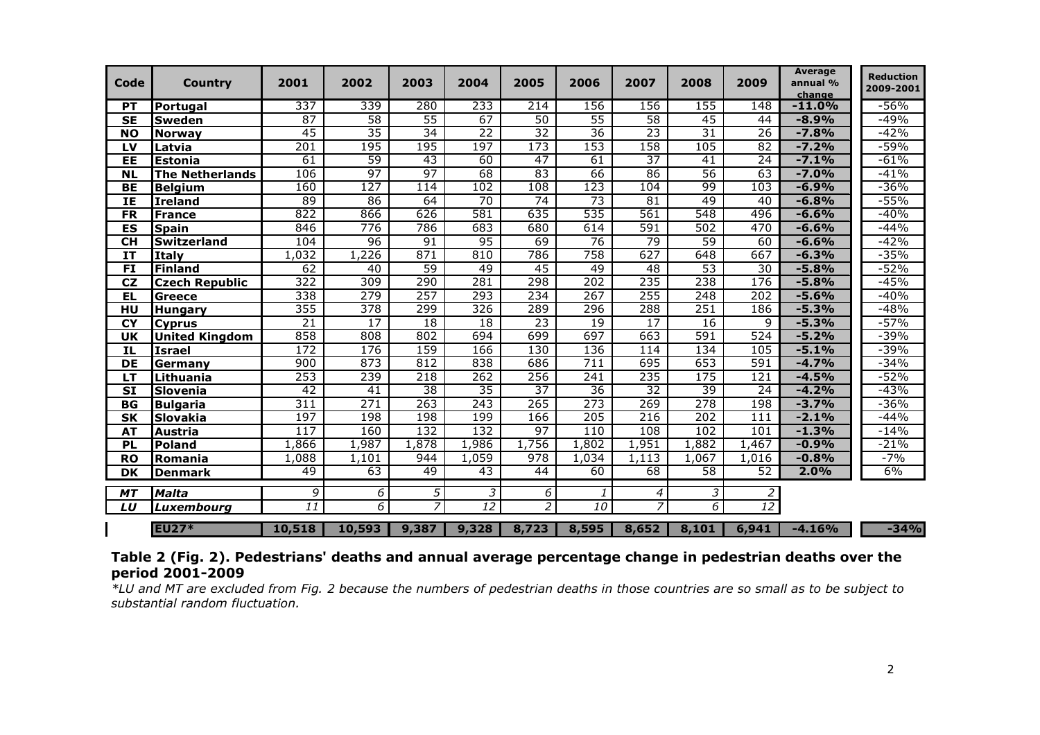| <b>Code</b>                          | <b>Country</b>         | 2001             | 2002             | 2003            | 2004            | 2005           | 2006            | 2007            | 2008            | 2009             | <b>Average</b><br>annual %<br>change | <b>Reduction</b><br>2009-2001 |
|--------------------------------------|------------------------|------------------|------------------|-----------------|-----------------|----------------|-----------------|-----------------|-----------------|------------------|--------------------------------------|-------------------------------|
| <b>PT</b>                            | Portugal               | 337              | 339              | 280             | 233             | 214            | 156             | 156             | 155             | $\overline{148}$ | $-11.0%$                             | -56%                          |
| <b>SE</b>                            | <b>Sweden</b>          | 87               | 58               | $\overline{55}$ | $\overline{67}$ | 50             | 55              | 58              | 45              | 44               | $-8.9%$                              | -49%                          |
| <b>NO</b>                            | <b>Norway</b>          | 45               | 35               | 34              | 22              | 32             | 36              | 23              | $\overline{31}$ | 26               | $-7.8%$                              | $-42%$                        |
| LV                                   | Latvia                 | $\overline{201}$ | 195              | 195             | 197             | 173            | 153             | 158             | 105             | 82               | $-7.2%$                              | $-59%$                        |
| EE                                   | <b>Estonia</b>         | 61               | 59               | 43              | 60              | 47             | 61              | $\overline{37}$ | 41              | 24               | $-7.1%$                              | $-61%$                        |
| <b>NL</b>                            | <b>The Netherlands</b> | 106              | 97               | 97              | 68              | 83             | 66              | 86              | 56              | 63               | $-7.0%$                              | $-41%$                        |
| BE                                   | <b>Belgium</b>         | 160              | 127              | 114             | 102             | 108            | 123             | 104             | 99              | 103              | $-6.9%$                              | $-36%$                        |
| IE                                   | <b>Ireland</b>         | 89               | 86               | 64              | $\overline{70}$ | 74             | 73              | $\overline{81}$ | 49              | 40               | $-6.8%$                              | $-55%$                        |
| <b>FR</b>                            | <b>France</b>          | 822              | 866              | 626             | 581             | 635            | 535             | 561             | 548             | 496              | $-6.6%$                              | $-40%$                        |
| $\overline{\mathsf{ES}}$             | <b>Spain</b>           | 846              | 776              | 786             | 683             | 680            | 614             | 591             | 502             | 470              | $-6.6%$                              | $-44%$                        |
| <b>CH</b>                            | <b>Switzerland</b>     | 104              | 96               | 91              | 95              | 69             | 76              | 79              | 59              | 60               | $-6.6%$                              | $-42%$                        |
| <b>IT</b>                            | <b>Italy</b>           | 1,032            | 1,226            | 871             | 810             | 786            | 758             | 627             | 648             | 667              | $-6.3%$                              | $-35%$                        |
| $\overline{FI}$                      | Finland                | 62               | 40               | 59              | 49              | 45             | 49              | 48              | 53              | $\overline{30}$  | $-5.8%$                              | $-52%$                        |
| CZ                                   | <b>Czech Republic</b>  | 322              | 309              | 290             | 281             | 298            | 202             | 235             | 238             | 176              | $-5.8%$                              | $-45%$                        |
| EL                                   | Greece                 | 338              | 279              | 257             | 293             | 234            | 267             | 255             | 248             | 202              | $-5.6%$                              | $-40%$                        |
| HU                                   | <b>Hungary</b>         | 355              | 378              | 299             | 326             | 289            | 296             | 288             | 251             | 186              | $-5.3%$                              | $-48%$                        |
| <b>CY</b>                            | <b>Cyprus</b>          | $\overline{21}$  | 17               | 18              | 18              | 23             | 19              | $\overline{17}$ | 16              | 9                | $-5.3%$                              | $-57%$                        |
| <b>UK</b>                            | <b>United Kingdom</b>  | 858              | $\overline{808}$ | 802             | 694             | 699            | 697             | 663             | 591             | 524              | $-5.2%$                              | $-39%$                        |
| IL                                   | <b>Israel</b>          | 172              | 176              | 159             | 166             | 130            | 136             | 114             | 134             | 105              | $-5.1%$                              | $-39%$                        |
| $\overline{DE}$                      | Germany                | 900              | 873              | 812             | 838             | 686            | 711             | 695             | 653             | 591              | $-4.7%$                              | $-34%$                        |
| $\overline{\mathsf{L}^{\mathsf{T}}}$ | Lithuania              | 253              | 239              | 218             | 262             | 256            | 241             | 235             | 175             | 121              | $-4.5%$                              | $-52%$                        |
| $\overline{\mathbf{S}}$              | Slovenia               | 42               | 41               | 38              | 35              | 37             | 36              | $\overline{32}$ | 39              | 24               | $-4.2%$                              | $-43%$                        |
| <b>BG</b>                            | <b>Bulgaria</b>        | 311              | 271              | 263             | 243             | 265            | 273             | 269             | 278             | 198              | $-3.7%$                              | $-36%$                        |
| <b>SK</b>                            | <b>Slovakia</b>        | 197              | 198              | 198             | 199             | 166            | 205             | 216             | 202             | 111              | $-2.1%$                              | $-44%$                        |
| <b>AT</b>                            | <b>Austria</b>         | 117              | 160              | 132             | 132             | 97             | 110             | 108             | 102             | 101              | $-1.3%$                              | $-14%$                        |
| <b>PL</b>                            | <b>Poland</b>          | 1,866            | 1,987            | 1,878           | 1,986           | 1,756          | 1,802           | 1,951           | 1,882           | 1,467            | $-0.9%$                              | $-21%$                        |
| <b>RO</b>                            | Romania                | 1,088            | 1,101            | 944             | 1,059           | 978            | 1,034           | 1.113           | 1,067           | 1,016            | $-0.8%$                              | $-7%$                         |
| <b>DK</b>                            | <b>Denmark</b>         | 49               | 63               | 49              | 43              | 44             | 60              | 68              | $\overline{58}$ | $\overline{52}$  | 2.0%                                 | 6%                            |
| <b>MT</b>                            | <b>Malta</b>           | 9                | 6                | 5               | 3               | 6              | 1               | 4               | 3               | $\overline{2}$   |                                      |                               |
| LU                                   | Luxembourg             | 11               | 6                | $\overline{7}$  | 12              | $\overline{2}$ | $\overline{10}$ | $\overline{7}$  | 6               | 12               |                                      |                               |
|                                      | <b>EU27*</b>           | 10,518           | 10,593           | 9,387           | 9,328           | 8,723          | 8,595           | 8,652           | 8,101           | 6,941            | $-4.16%$                             | $-34%$                        |

| Table 2 (Fig. 2). Pedestrians' deaths and annual average percentage change in pedestrian deaths over the                         |  |  |
|----------------------------------------------------------------------------------------------------------------------------------|--|--|
| period 2001-2009                                                                                                                 |  |  |
| *LU and MT are excluded from Fig. 2 because the numbers of pedestrian deaths in those countries are so small as to be subject to |  |  |

substantial random fluctuation.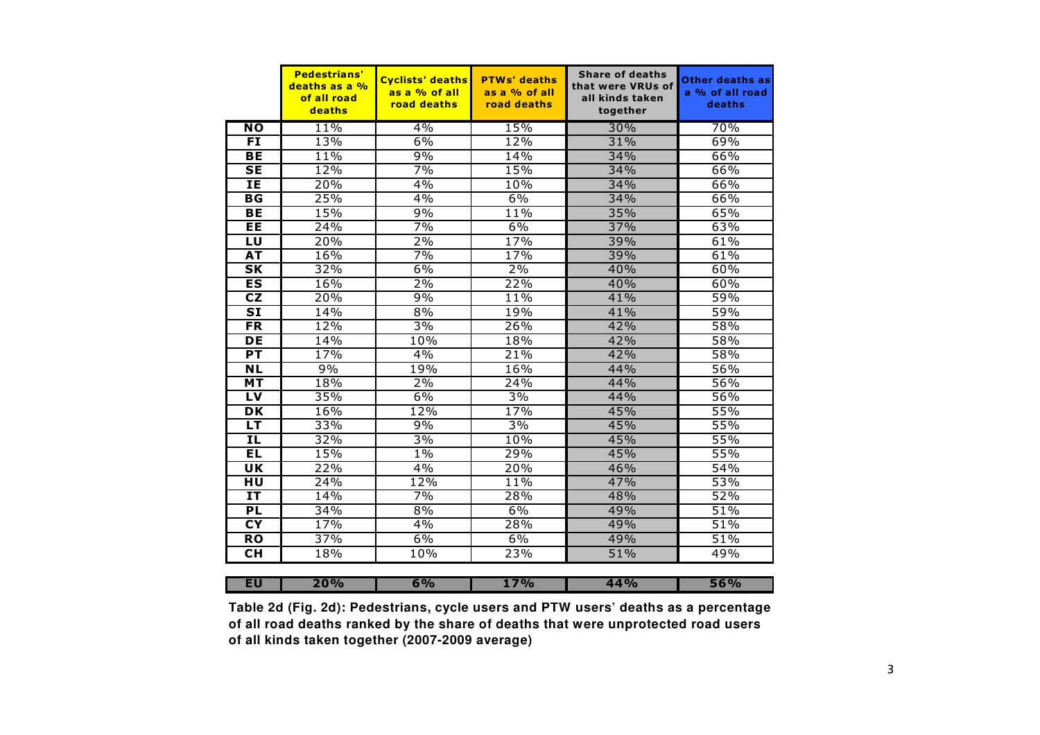|                                   | <b>Pedestrians'</b><br>deaths as a %<br>of all road<br>deaths | <b>Cyclists' deaths</b><br>as a % of all<br>road deaths | <b>PTWs' deaths</b><br>as a % of all<br>road deaths | <b>Share of deaths</b><br>that were VRUs of<br>all kinds taken<br>together | Other deaths as<br>a % of all road<br>deaths |
|-----------------------------------|---------------------------------------------------------------|---------------------------------------------------------|-----------------------------------------------------|----------------------------------------------------------------------------|----------------------------------------------|
| <b>NO</b>                         | 11%                                                           | $4\%$                                                   | 15%                                                 | 30%                                                                        | 70%                                          |
| <b>FI</b>                         | 13%                                                           | 6%                                                      | 12%                                                 | 31%                                                                        | 69%                                          |
| <b>BE</b>                         | 11%                                                           | 9%                                                      | 14%                                                 | 34%                                                                        | 66%                                          |
| <b>SE</b>                         | 12%                                                           | 7%                                                      | 15%                                                 | 34%                                                                        | 66%                                          |
| ΙE                                | 20%                                                           | 4%                                                      | 10%                                                 | 34%                                                                        | 66%                                          |
| $\overline{\mathsf{B}\mathsf{G}}$ | 25%                                                           | 4%                                                      | 6%                                                  | 34%                                                                        | 66%                                          |
| <b>BE</b>                         | 15%                                                           | 9%                                                      | 11%                                                 | 35%                                                                        | 65%                                          |
| EE                                | 24%                                                           | 7%                                                      | 6%                                                  | 37%                                                                        | 63%                                          |
| LU                                | 20%                                                           | 2%                                                      | 17%                                                 | 39%                                                                        | 61%                                          |
| AT                                | 16%                                                           | 7%                                                      | 17%                                                 | 39%                                                                        | 61%                                          |
| $\overline{\mathsf{SK}}$          | 32%                                                           | 6%                                                      | 2%                                                  | 40%                                                                        | 60%                                          |
| ES                                | 16%                                                           | 2%                                                      | 22%                                                 | 40%                                                                        | 60%                                          |
| CZ                                | 20%                                                           | 9%                                                      | 11%                                                 | 41%                                                                        | 59%                                          |
| $\overline{\mathbf{S}}$           | 14%                                                           | 8%                                                      | 19%                                                 | 41%                                                                        | 59%                                          |
| $F$ R                             | 12%                                                           | 3%                                                      | 26%                                                 | 42%                                                                        | 58%                                          |
| DE                                | 14%                                                           | 10%                                                     | 18%                                                 | 42%                                                                        | 58%                                          |
| PT                                | 17%                                                           | 4%                                                      | 21%                                                 | 42%                                                                        | 58%                                          |
| $\overline{\mathsf{NL}}$          | 9%                                                            | 19%                                                     | 16%                                                 | 44%                                                                        | 56%                                          |
| MT                                | 18%                                                           | $2\%$                                                   | 24%                                                 | 44%                                                                        | 56%                                          |
| LV                                | 35%                                                           | 6%                                                      | $3\%$                                               | 44%                                                                        | 56%                                          |
| <b>DK</b>                         | 16%                                                           | 12%                                                     | 17%                                                 | 45%                                                                        | 55%                                          |
| LT.                               | 33%                                                           | 9%                                                      | 3%                                                  | 45%                                                                        | 55%                                          |
| IL                                | 32%                                                           | $3\%$                                                   | 10%                                                 | 45%                                                                        | 55%                                          |
| EL                                | 15%                                                           | $1\%$                                                   | 29%                                                 | 45%                                                                        | 55%                                          |
| $\overline{\mathsf{u}\mathsf{k}}$ | 22%                                                           | 4%                                                      | 20%                                                 | 46%                                                                        | 54%                                          |
| $\overline{HU}$                   | 24%                                                           | 12%                                                     | 11%                                                 | 47%                                                                        | 53%                                          |
| <b>IT</b>                         | 14%                                                           | 7%                                                      | 28%                                                 | 48%                                                                        | 52%                                          |
| <b>PL</b>                         | 34%                                                           | 8%                                                      | 6%                                                  | 49%                                                                        | 51%                                          |
| $\overline{\mathsf{C}\mathsf{Y}}$ | 17%                                                           | 4%                                                      | 28%                                                 | 49%                                                                        | 51%                                          |
| $\overline{RO}$                   | 37%                                                           | 6%                                                      | 6%                                                  | 49%                                                                        | 51%                                          |
| <b>CH</b>                         | 18%                                                           | 10%                                                     | 23%                                                 | 51%                                                                        | 49%                                          |
| EU                                | 20%                                                           | 6%                                                      | 17%                                                 | 44%                                                                        | 56%                                          |
|                                   |                                                               |                                                         |                                                     |                                                                            |                                              |

**Table 2d (Fig. 2d): Pedestrians, cycle users and PTW users' deaths as a percentage of all road deaths ranked by the share of deaths that were unprotected road users of all kinds taken together (2007-2009 average)**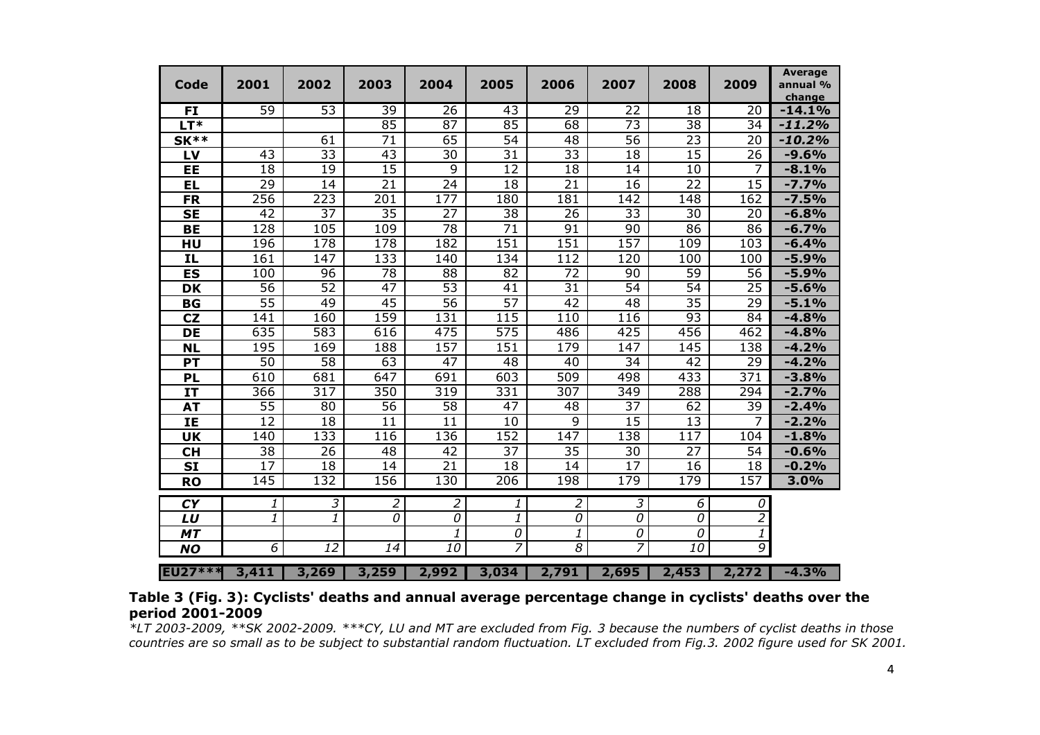| Code                                 | 2001             | 2002                     | 2003            | 2004             | 2005            | 2006             | 2007             | 2008             | 2009                | <b>Average</b><br>annual %<br>change |
|--------------------------------------|------------------|--------------------------|-----------------|------------------|-----------------|------------------|------------------|------------------|---------------------|--------------------------------------|
| FI                                   | 59               | 53                       | 39              | $\overline{26}$  | $\overline{43}$ | 29               | $\overline{22}$  | $\overline{18}$  | 20                  | $-14.1%$                             |
| $LT*$                                |                  |                          | 85              | $\overline{87}$  | 85              | 68               | $\overline{73}$  | 38               | 34                  | $-11.2%$                             |
| $SK**$                               |                  | 61                       | $\overline{71}$ | 65               | $\overline{54}$ | 48               | $\overline{56}$  | $\overline{23}$  | 20                  | $-10.2%$                             |
| LV                                   | 43               | $\overline{33}$          | 43              | 30               | $\overline{31}$ | $\overline{33}$  | 18               | 15               | 26                  | $-9.6%$                              |
| EE                                   | 18               | $\overline{19}$          | $\overline{15}$ | $\overline{9}$   | $\overline{12}$ | 18               | 14               | 10               | 7                   | $-8.1%$                              |
| EL                                   | $\overline{29}$  | 14                       | 21              | 24               | 18              | 21               | 16               | $\overline{22}$  | $\overline{15}$     | $-7.7%$                              |
| <b>FR</b>                            | 256              | 223                      | 201             | 177              | 180             | 181              | 142              | 148              | 162                 | $-7.5%$                              |
| <b>SE</b>                            | 42               | $\overline{37}$          | $\overline{35}$ | $\overline{27}$  | $\overline{38}$ | 26               | $\overline{33}$  | 30               | 20                  | $-6.8%$                              |
| <b>BE</b>                            | $\overline{128}$ | 105                      | 109             | 78               | $\overline{71}$ | 91               | $\overline{90}$  | 86               | 86                  | $-6.7%$                              |
| HU                                   | 196              | 178                      | 178             | $\overline{182}$ | 151             | $\overline{151}$ | 157              | 109              | 103                 | $-6.4%$                              |
| ΙL                                   | 161              | 147                      | 133             | 140              | 134             | 112              | 120              | 100              | 100                 | $-5.9%$                              |
| <b>ES</b>                            | 100              | 96                       | $\overline{78}$ | $\overline{88}$  | $\overline{82}$ | $\overline{72}$  | 90               | $\overline{59}$  | $\overline{56}$     | $-5.9%$                              |
| <b>DK</b>                            | 56               | $\overline{52}$          | 47              | 53               | 41              | $\overline{31}$  | $\overline{54}$  | $\overline{54}$  | $\overline{25}$     | $-5.6%$                              |
| <b>BG</b>                            | $\overline{55}$  | 49                       | 45              | $\overline{56}$  | $\overline{57}$ | 42               | 48               | $\overline{35}$  | 29                  | $-5.1%$                              |
| CZ                                   | 141              | 160                      | 159             | 131              | 115             | 110              | 116              | 93               | 84                  | $-4.8%$                              |
| <b>DE</b>                            | 635              | 583                      | 616             | 475              | 575             | 486              | 425              | 456              | 462                 | $-4.8%$                              |
| <b>NL</b>                            | 195              | 169                      | 188             | 157              | 151             | 179              | 147              | 145              | 138                 | $-4.2%$                              |
| PT                                   | 50               | 58                       | 63              | 47               | 48              | 40               | 34               | 42               | 29                  | $-4.2%$                              |
| <b>PL</b>                            | 610              | 681                      | 647             | 691              | 603             | 509              | 498              | 433              | 371                 | $-3.8%$                              |
| <b>IT</b>                            | 366              | 317                      | 350             | 319              | 331             | 307              | 349              | 288              | 294                 | $-2.7%$                              |
| <b>AT</b>                            | $\overline{55}$  | 80                       | 56              | 58               | 47              | 48               | 37               | 62               | 39                  | $-2.4%$                              |
| IE                                   | 12               | 18                       | 11              | 11               | 10              | 9                | 15               | 13               | 7                   | $-2.2%$                              |
| <b>UK</b>                            | 140              | 133                      | 116             | 136              | 152             | 147              | 138              | 117              | 104                 | $-1.8%$                              |
| <b>CH</b>                            | 38               | 26                       | 48              | 42               | 37              | 35               | 30               | 27               | 54                  | $-0.6%$                              |
| <b>SI</b>                            | $\overline{17}$  | 18                       | 14              | $\overline{21}$  | 18              | 14               | $\overline{17}$  | 16               | 18                  | $-0.2%$                              |
| <b>RO</b>                            | $\overline{145}$ | $\overline{132}$         | 156             | $\overline{130}$ | 206             | 198              | $\overline{179}$ | $\overline{179}$ | 157                 | 3.0%                                 |
| $\overline{\mathsf{C}^{\mathsf{Y}}}$ | 1                | $\overline{\mathcal{Z}}$ | $\overline{2}$  | $\overline{2}$   | 1               | 2                | 3                | $\overline{6}$   | $\overline{\theta}$ |                                      |
| LU                                   | 1                | 1                        | 0               | 0                | 1               | 0                | 0                | 0                | $\overline{2}$      |                                      |
| <b>MT</b>                            |                  |                          |                 | 1                | 0               | 1                | 0                | 0                | 1                   |                                      |
| <b>NO</b>                            | 6                | $\overline{12}$          | 14              | 10               | 7               | $\overline{s}$   | 7                | 10               | 9                   |                                      |
| <b>EU27***</b>                       | 3,411            | 3,269                    | 3,259           | 2,992            | 3,034           | 2,791            | 2,695            | 2,453            | 2,272               | $-4.3%$                              |

### Table 3 (Fig. 3): Cyclists' deaths and annual average percentage change in cyclists' deaths over the period 2001-2009

 \*LT 2003-2009, \*\*SK 2002-2009. \*\*\*CY, LU and MT are excluded from Fig. 3 because the numbers of cyclist deaths in those countries are so small as to be subject to substantial random fluctuation. LT excluded from Fig.3. 2002 figure used for SK 2001.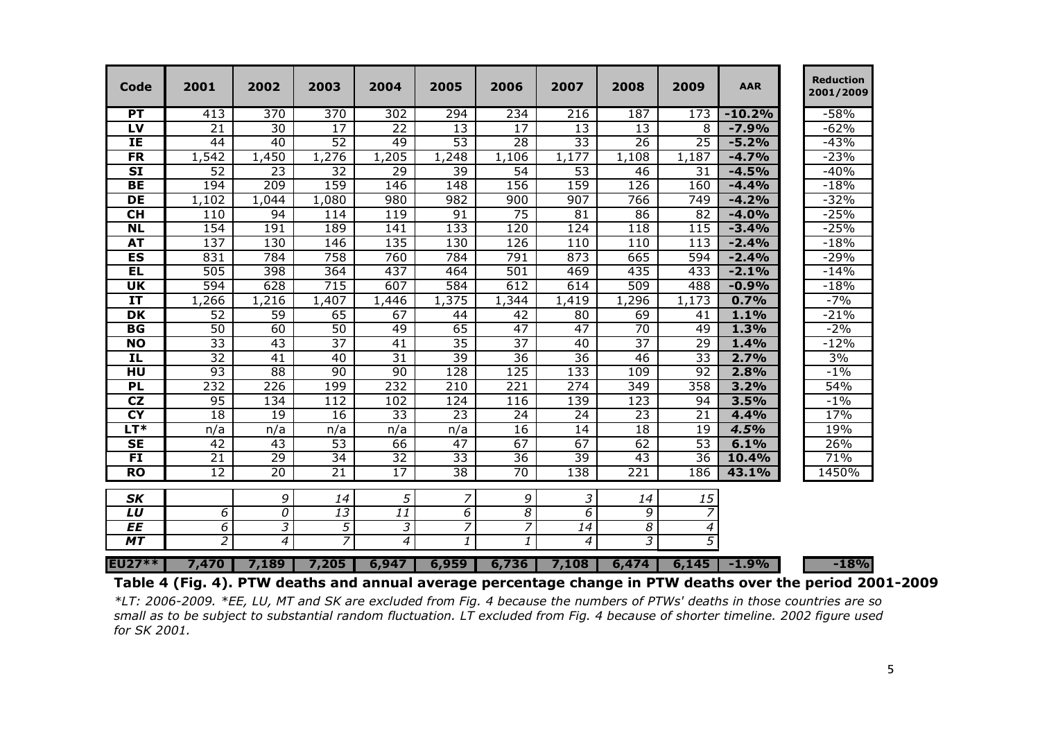| Code                              | 2001             | 2002            | 2003            | 2004            | 2005             | 2006            | 2007            | 2008             | 2009             | <b>AAR</b> | <b>Reduction</b><br>2001/2009 |
|-----------------------------------|------------------|-----------------|-----------------|-----------------|------------------|-----------------|-----------------|------------------|------------------|------------|-------------------------------|
| <b>PT</b>                         | 413              | 370             | 370             | 302             | 294              | 234             | 216             | 187              | 173              | $-10.2%$   | $-58%$                        |
| $\overline{L}$                    | 21               | 30              | 17              | 22              | 13               | 17              | 13              | 13               | 8                | $-7.9%$    | $-62%$                        |
| IE                                | 44               | $\overline{40}$ | $\overline{52}$ | 49              | 53               | $\overline{28}$ | $\overline{33}$ | $\overline{26}$  | $\overline{25}$  | $-5.2%$    | $-43%$                        |
| $F$ R                             | 1,542            | 1,450           | 1,276           | 1,205           | 1,248            | 1,106           | 1,177           | 1,108            | 1,187            | $-4.7%$    | $-23%$                        |
| $\overline{\text{SI}}$            | 52               | $\overline{23}$ | $\overline{32}$ | 29              | 39               | 54              | $\overline{53}$ | 46               | 31               | $-4.5%$    | $-40%$                        |
| <b>BE</b>                         | 194              | 209             | 159             | 146             | 148              | 156             | 159             | 126              | 160              | $-4.4%$    | $-18%$                        |
| $\overline{DE}$                   | 1,102            | 1,044           | 1,080           | 980             | 982              | 900             | 907             | 766              | $\overline{749}$ | $-4.2%$    | $-32%$                        |
| $\overline{\text{CH}}$            | 110              | 94              | 114             | 119             | 91               | 75              | $\overline{81}$ | 86               | $\overline{82}$  | $-4.0%$    | $-25%$                        |
| N <sub>L</sub>                    | 154              | 191             | 189             | 141             | 133              | 120             | 124             | 118              | 115              | $-3.4%$    | $-25%$                        |
| <b>AT</b>                         | 137              | 130             | 146             | 135             | 130              | 126             | 110             | $\overline{110}$ | $\overline{113}$ | $-2.4%$    | $-18%$                        |
| ES                                | 831              | 784             | 758             | 760             | 784              | 791             | 873             | 665              | 594              | $-2.4%$    | $-29%$                        |
| <b>EL</b>                         | 505              | 398             | 364             | 437             | 464              | 501             | 469             | 435              | 433              | $-2.1%$    | $-14%$                        |
| $\overline{\mathsf{u}}$           | $\overline{594}$ | 628             | 715             | 607             | 584              | 612             | 614             | 509              | 488              | $-0.9%$    | $-18%$                        |
| $\overline{\mathbf{I}}$           | 1,266            | 1,216           | 1,407           | 1,446           | 1,375            | 1,344           | 1,419           | 1,296            | 1,173            | 0.7%       | $-7%$                         |
| $\overline{\mathsf{D}\mathsf{K}}$ | $\overline{52}$  | 59              | 65              | 67              | 44               | 42              | 80              | 69               | 41               | 1.1%       | $-21%$                        |
| <b>BG</b>                         | 50               | 60              | 50              | 49              | 65               | $\overline{47}$ | 47              | $\overline{70}$  | 49               | 1.3%       | $-2%$                         |
| <b>NO</b>                         | 33               | $\overline{43}$ | $\overline{37}$ | $\overline{41}$ | $\overline{35}$  | $\overline{37}$ | 40              | $\overline{37}$  | $\overline{29}$  | 1.4%       | $-12%$                        |
| IL.                               | $\overline{32}$  | 41              | 40              | $\overline{31}$ | $\overline{39}$  | $\overline{36}$ | $\overline{36}$ | 46               | 33               | 2.7%       | 3%                            |
| HU                                | $\overline{93}$  | $\overline{88}$ | $\overline{90}$ | 90              | 128              | 125             | 133             | 109              | 92               | 2.8%       | $-1\%$                        |
| PL                                | 232              | 226             | 199             | 232             | $\overline{210}$ | 221             | 274             | 349              | 358              | 3.2%       | 54%                           |
| $\overline{\text{c}}$             | 95               | 134             | 112             | 102             | 124              | 116             | 139             | 123              | 94               | 3.5%       | $-1\%$                        |
| $\overline{\mathsf{C}\mathsf{Y}}$ | 18               | 19              | $\overline{16}$ | $\overline{33}$ | $\overline{23}$  | $\overline{24}$ | $\overline{24}$ | 23               | $\overline{21}$  | 4.4%       | 17%                           |
| $LT^*$                            | n/a              | n/a             | n/a             | n/a             | n/a              | 16              | 14              | 18               | 19               | 4.5%       | 19%                           |
| $\overline{\mathsf{SE}}$          | 42               | 43              | $\overline{53}$ | 66              | 47               | 67              | 67              | 62               | 53               | 6.1%       | 26%                           |
| $\overline{FI}$                   | $\overline{21}$  | 29              | 34              | $\overline{32}$ | 33               | 36              | 39              | 43               | 36               | 10.4%      | 71%                           |
| <b>RO</b>                         | 12               | $\overline{20}$ | $\overline{21}$ | 17              | $\overline{38}$  | 70              | 138             | 221              | 186              | 43.1%      | 1450%                         |
| <b>SK</b>                         |                  | 9               | 14              | 5               | $\overline{z}$   | 9               | 3               | 14               | 15               |            |                               |
| LU                                | 6                | 0               | 13              | 11              | $\overline{6}$   | $\overline{s}$  | 6               | 9                | $\overline{z}$   |            |                               |
| EE                                | $\overline{6}$   | 3               | $\overline{5}$  | 3               | 7                | 7               | $\overline{14}$ | $\overline{8}$   | $\boldsymbol{4}$ |            |                               |
| MT                                | $\overline{2}$   | 4               | $\overline{7}$  | 4               | 1                | $\mathbf{1}$    | 4               | 3                | 5                |            |                               |
| <b>EU27**</b>                     | 7,470            | 7,189           | 7,205           | 6,947           | 6,959            | 6,736           | 7,108           | 6,474            | 6,145            | $-1.9%$    | $-18%$                        |

:U27\*\* | 7,470 | 7,189 | 7,205 | 6,947 | 6,959 | 6,736 | 7,108 | 6,474 | 6,145 | -1.9% | | -18%|<br>Table 4 (Fig. 4). PTW deaths and annual average percentage change in PTW deaths over the period

\*LT: 2006-2009. \*EE, LU, MT and SK are excluded from Fig. 4 because the numbers of PTWs' deaths in those countries are so small as to be subject to substantial random fluctuation. LT excluded from Fig. 4 because of shorter timeline. 2002 figure used for SK 2001.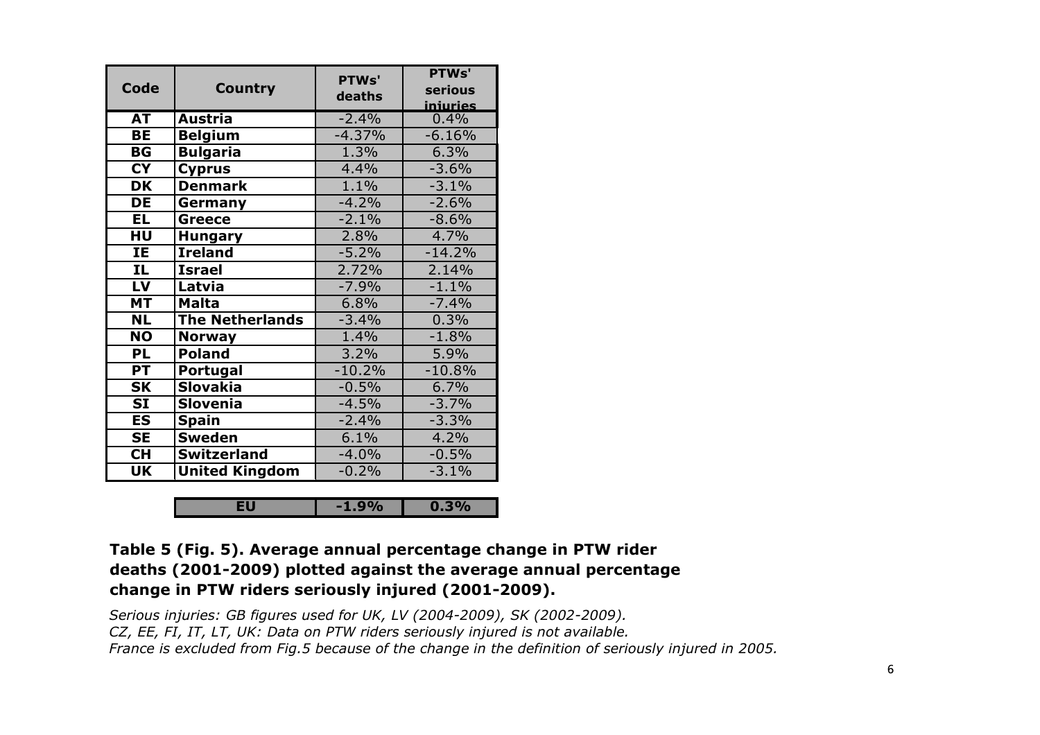| <b>Code</b>              | <b>Country</b>         | PTWs'<br>deaths | PTWs'<br>serious<br>iniuries |
|--------------------------|------------------------|-----------------|------------------------------|
| <b>AT</b>                | <b>Austria</b>         | $-2.4%$         | 0.4%                         |
| <b>BE</b>                | <b>Belgium</b>         | $-4.37%$        | $-6.16%$                     |
| <b>BG</b>                | <b>Bulgaria</b>        | 1.3%            | 6.3%                         |
| <b>CY</b>                | <b>Cyprus</b>          | 4.4%            | $-3.6%$                      |
| <b>DK</b>                | <b>Denmark</b>         | 1.1%            | $-3.1%$                      |
| <b>DE</b>                | Germany                | $-4.2%$         | $-2.6%$                      |
| <b>EL</b>                | <b>Greece</b>          | $-2.1%$         | $-8.6%$                      |
| HU                       | <b>Hungary</b>         | 2.8%            | 4.7%                         |
| IE                       | <b>Ireland</b>         | $-5.2%$         | $-14.2%$                     |
| $\overline{\mathbf{IL}}$ | <b>Israel</b>          | 2.72%           | 2.14%                        |
| LV                       | Latvia                 | $-7.9%$         | $-1.1%$                      |
| <b>MT</b>                | <b>Malta</b>           | 6.8%            | $-7.4%$                      |
| <b>NL</b>                | <b>The Netherlands</b> | $-3.4%$         | 0.3%                         |
| <b>NO</b>                | <b>Norway</b>          | 1.4%            | $-1.8%$                      |
| <b>PL</b>                | <b>Poland</b>          | 3.2%            | 5.9%                         |
| $\overline{PT}$          | Portugal               | $-10.2\%$       | $-10.8%$                     |
| <b>SK</b>                | <b>Slovakia</b>        | $-0.5%$         | 6.7%                         |
| <b>SI</b>                | <b>Slovenia</b>        | $-4.5%$         | $-3.7%$                      |
| <b>ES</b>                | <b>Spain</b>           | $-2.4%$         | $-3.3%$                      |
| $\overline{\mathsf{SE}}$ | <b>Sweden</b>          | 6.1%            | 4.2%                         |
| <b>CH</b>                | <b>Switzerland</b>     | $-4.0%$         | $-0.5%$                      |
| <b>UK</b>                | <b>United Kingdom</b>  | $-0.2%$         | $-3.1%$                      |

| <b>COMPANY</b> | 7 U |
|----------------|-----|
|                |     |

## Table 5 (Fig. 5). Average annual percentage change in PTW rider deaths (2001-2009) plotted against the average annual percentage change in PTW riders seriously injured (2001-2009).

Serious injuries: GB figures used for UK, LV (2004-2009), SK (2002-2009). CZ, EE, FI, IT, LT, UK: Data on PTW riders seriously injured is not available. France is excluded from Fig.5 because of the change in the definition of seriously injured in 2005.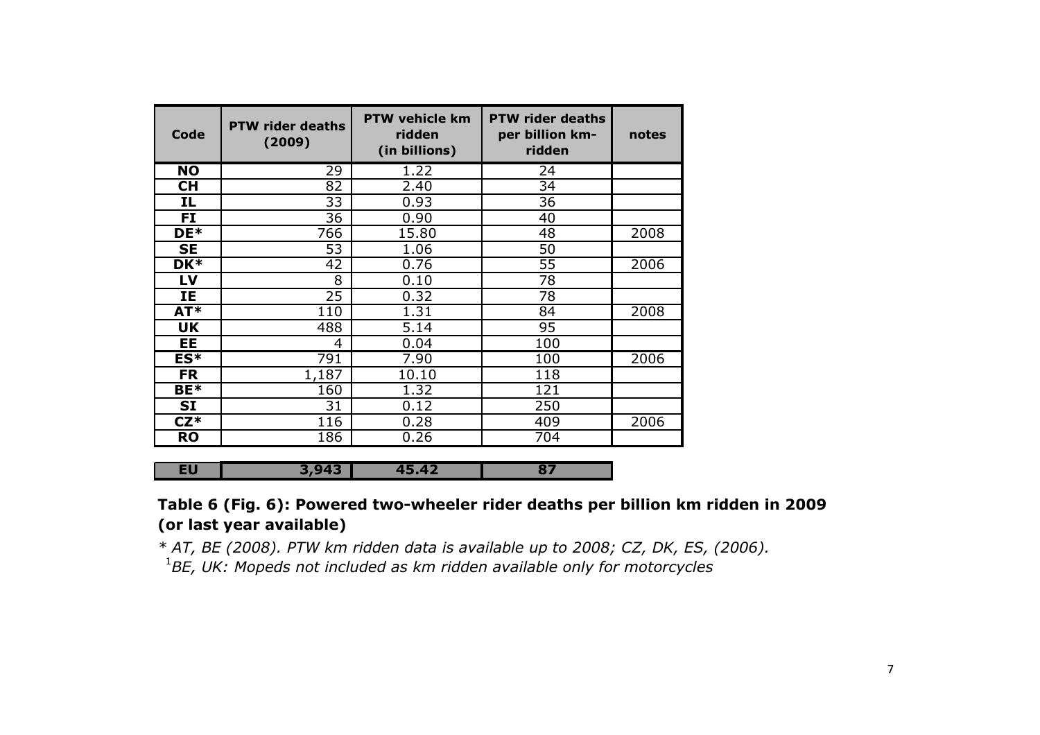| Code            | <b>PTW rider deaths</b><br>(2009) | <b>PTW vehicle km</b><br>ridden<br>(in billions) | <b>PTW rider deaths</b><br>per billion km-<br>ridden | notes |
|-----------------|-----------------------------------|--------------------------------------------------|------------------------------------------------------|-------|
| $\overline{NO}$ | 29                                | 1.22                                             | 24                                                   |       |
| <b>CH</b>       | 82                                | 2.40                                             | 34                                                   |       |
| IL              | 33                                | 0.93                                             | 36                                                   |       |
| <b>FI</b>       | 36                                | 0.90                                             | 40                                                   |       |
| DE*             | 766                               | 15.80                                            | 48                                                   | 2008  |
| <b>SE</b>       | 53                                | 1.06                                             | 50                                                   |       |
| DK*             | 42                                | 0.76                                             | $\overline{55}$                                      | 2006  |
| LV              | 8                                 | 0.10                                             | 78                                                   |       |
| IE              | 25                                | 0.32                                             | 78                                                   |       |
| AT*             | 110                               | 1.31                                             | 84                                                   | 2008  |
| <b>UK</b>       | 488                               | 5.14                                             | 95                                                   |       |
| <b>EE</b>       | 4                                 | 0.04                                             | 100                                                  |       |
| ES*             | 791                               | 7.90                                             | 100                                                  | 2006  |
| <b>FR</b>       | 1,187                             | 10.10                                            | 118                                                  |       |
| BE*             | 160                               | 1.32                                             | 121                                                  |       |
| <b>SI</b>       | 31                                | 0.12                                             | 250                                                  |       |
| $CZ^*$          | 116                               | 0.28                                             | 409                                                  | 2006  |
| <b>RO</b>       | 186                               | 0.26                                             | $\overline{704}$                                     |       |

EU3,943 45.42 <sup>87</sup>

# Table 6 (Fig. 6): Powered two-wheeler rider deaths per billion km ridden in 2009 (or last year available)

\* AT, BE (2008). PTW km ridden data is available up to 2008; CZ, DK, ES, (2006). $1$ BE, UK: Mopeds not included as km ridden available only for motorcycles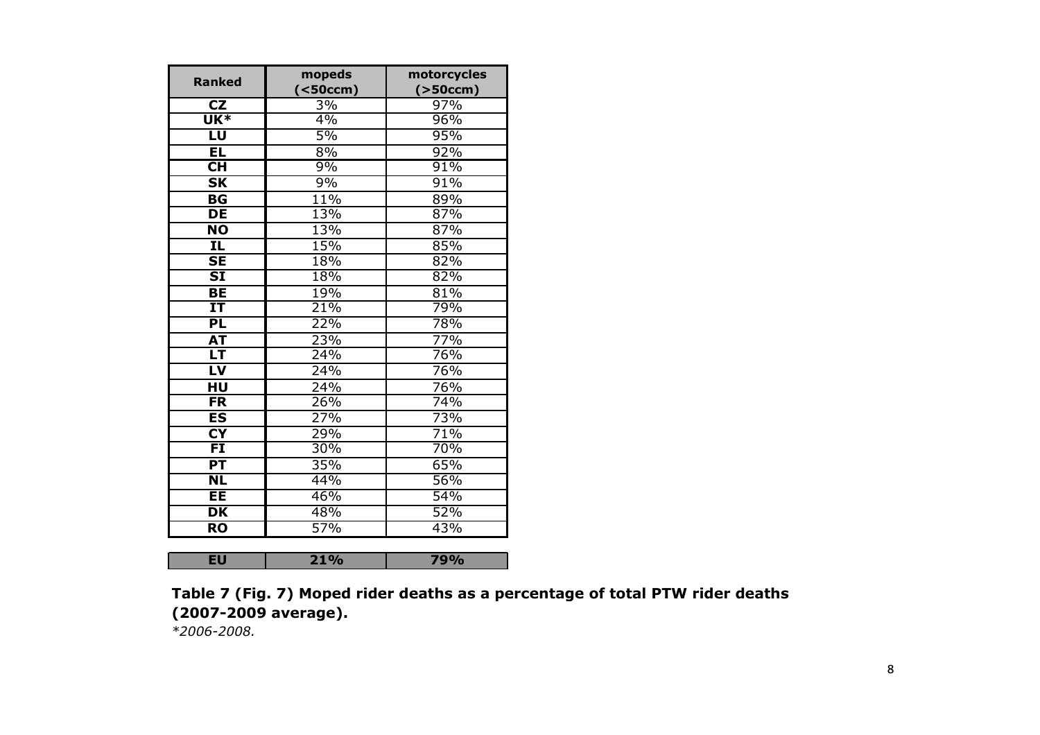| <b>Ranked</b>                      | mopeds              | motorcycles |
|------------------------------------|---------------------|-------------|
|                                    | ( <sub>50</sub> cm) | ( > 50ccm)  |
| CZ                                 | 3%                  | 97%         |
| $\overline{\mathsf{UK}^*}$         | 4%                  | 96%         |
| LU                                 | 5%                  | 95%         |
| EL                                 | 8%                  | 92%         |
| $\overline{\mathsf{CH}}$           | 9%                  | 91%         |
| $\overline{\mathsf{SK}}$           | 9%                  | 91%         |
| $\overline{\mathsf{B} \mathsf{G}}$ | 11%                 | 89%         |
| <b>DE</b>                          | 13%                 | 87%         |
| $\overline{NO}$                    | 13%                 | 87%         |
| IL.                                | 15%                 | 85%         |
| $\overline{\mathsf{SE}}$           | 18%                 | 82%         |
| $\overline{\text{SI}}$             | 18%                 | 82%         |
| <b>BE</b>                          | 19%                 | 81%         |
| $\overline{\mathbf{I}}$            | 21%                 | 79%         |
| PL                                 | 22%                 | 78%         |
| <b>AT</b>                          | 23%                 | 77%         |
| LT                                 | 24%                 | 76%         |
| LV                                 | 24%                 | 76%         |
| HU                                 | $\frac{1}{24\%}$    | 76%         |
| $\overline{\mathsf{FR}}$           | 26%                 | 74%         |
| $\overline{\mathsf{ES}}$           | 27%                 | 73%         |
| $\overline{\mathsf{C}\mathsf{Y}}$  | 29%                 | 71%         |
| $\overline{FI}$                    | 30%                 | 70%         |
| $\overline{PT}$                    | 35%                 | 65%         |
| $\overline{\textsf{NL}}$           | 44%                 | 56%         |
| ΕE                                 | 46%                 | 54%         |
| DK                                 | 48%                 | 52%         |
| $\overline{RO}$                    | 57%                 | 43%         |
|                                    |                     |             |
| <b>EU</b>                          | 21%                 | 79%         |

Table 7 (Fig. 7) Moped rider deaths as a percentage of total PTW rider deaths (2007-2009 average).

\*2006-2008.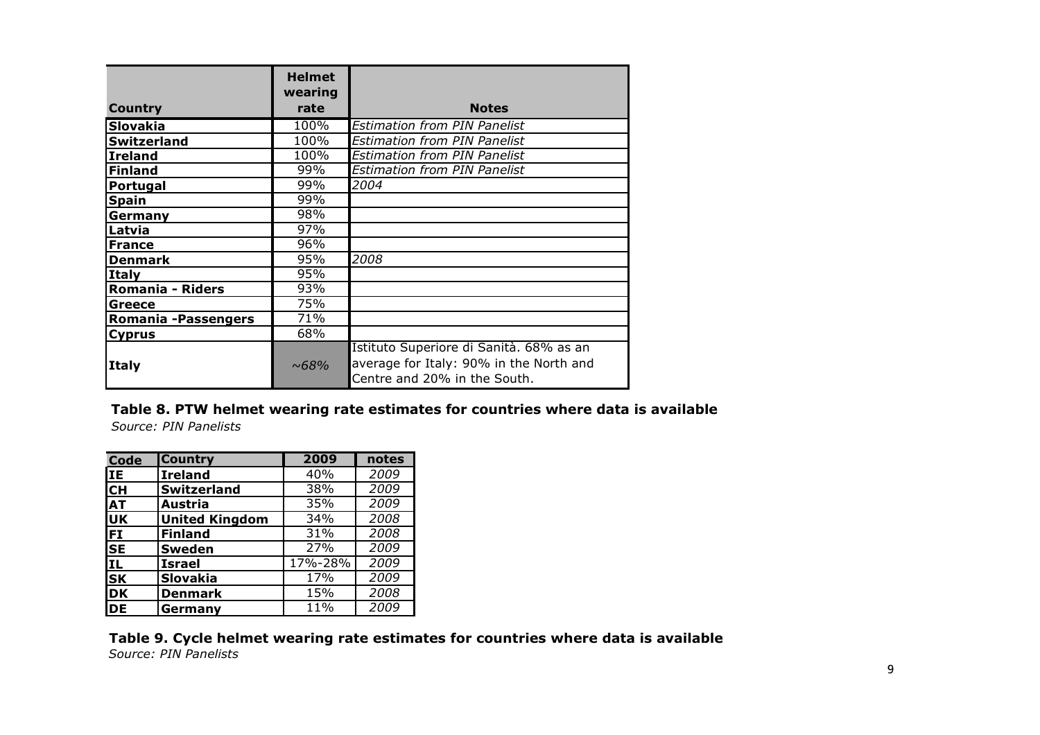|                         | <b>Helmet</b>   |                                                                                                                    |
|-------------------------|-----------------|--------------------------------------------------------------------------------------------------------------------|
| Country                 | wearing<br>rate | <b>Notes</b>                                                                                                       |
| <b>Slovakia</b>         | 100%            | <b>Estimation from PIN Panelist</b>                                                                                |
| <b>Switzerland</b>      | 100%            | <b>Estimation from PIN Panelist</b>                                                                                |
| <b>Ireland</b>          | 100%            | <b>Estimation from PIN Panelist</b>                                                                                |
| <b>Finland</b>          | 99%             | <b>Estimation from PIN Panelist</b>                                                                                |
| Portugal                | 99%             | 2004                                                                                                               |
| <b>Spain</b>            | 99%             |                                                                                                                    |
| Germany                 | 98%             |                                                                                                                    |
| Latvia                  | 97%             |                                                                                                                    |
| <b>France</b>           | 96%             |                                                                                                                    |
| <b>Denmark</b>          | 95%             | 2008                                                                                                               |
| Italy                   | 95%             |                                                                                                                    |
| <b>Romania - Riders</b> | 93%             |                                                                                                                    |
| Greece                  | 75%             |                                                                                                                    |
| Romania - Passengers    | 71%             |                                                                                                                    |
| <b>Cyprus</b>           | 68%             |                                                                                                                    |
| <b>Italy</b>            | $~1.68\%$       | Istituto Superiore di Sanità. 68% as an<br>average for Italy: 90% in the North and<br>Centre and 20% in the South. |

#### Table 8. PTW helmet wearing rate estimates for countries where data is available Source: PIN Panelists

| Code      | <b>Country</b>        | 2009    | notes |
|-----------|-----------------------|---------|-------|
| lіE       | <b>Ireland</b>        | 40%     | 2009  |
| lсн       | <b>Switzerland</b>    | 38%     | 2009  |
| <b>AT</b> | <b>Austria</b>        | 35%     | 2009  |
| luk       | <b>United Kingdom</b> | 34%     | 2008  |
| FI        | <b>Finland</b>        | 31%     | 2008  |
| <b>SE</b> | <b>Sweden</b>         | 27%     | 2009  |
| IL        | <b>Israel</b>         | 17%-28% | 2009  |
| <b>SK</b> | <b>Slovakia</b>       | 17%     | 2009  |
| <b>DK</b> | <b>Denmark</b>        | 15%     | 2008  |
| <b>DE</b> | Germany               | 11%     | 2009  |
|           |                       |         |       |

### Table 9. Cycle helmet wearing rate estimates for countries where data is available Source: PIN Panelists